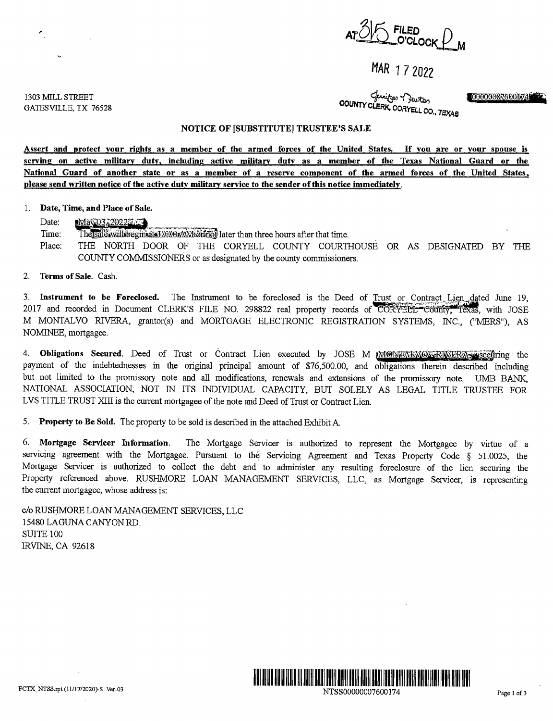

# MAR 1 7 2022

1303 MILL STREET GATESVILLE, TX 76528 ~ ~ **llg@00'0'00P,600iifttBi COUNTY CLERK, CORYELL co,, T!;XAe** 

## **NOTICE OF [SUBSTITUTE] TRUSTEE'S SALE**

**Assert and protect your rights as a member of the armed forces of the United States.** If **you are or your spouse is senring on active military duty, including active military duty as a member of the Texas National Guard or the National Guard of another state or as a member of a resenre component of the armed forces of the United States, please send written notice of the active duty military service to the sender of this notice immediately.** 

## 1. **Date, Time, and Place of Sale.**

Date: **ttariU~2D2tW.W.** . . , . . . Time: Th~~.a.willibegimatil'.Ji©W©~~ later than three hours after that time. Place: THE NORTH DOOR OF THE CORYELL COUNTY COURTHOUSE OR AS DESIGNATED BY THE COUNTY COMMISSIONERS or as designated by the county commissioners.

#### 2. **Terms of Sale.** Cash.

3. **Instrument to be Foreclosed.** The Instrument to be foreclosed is the Deed of Trust or Contract Lien dated June 19,<br>2017 and recorded in Document CLERK'S EUE NO. 298822 real property records of <del>CODNEW CONG.</del> This with 2017 and recorded in Document CLERK'S FILE NO. 298822 real property records of CORYELL-County, Texas, with JOSE M MONTALVO RIVERA, grantor(s) and MORTGAGE ELECTRONIC REGISTRATION SYSTEMS, INC., ("MERS"), AS NOMINEE, mortgagee.

4. **Obligations Secured**. Deed of Trust or Contract Lien executed by JOSE M **MONFALWOX RIVERA** isecuring the payment of the indebtednesses in the original principal amount of \$76,500.00, and obligations therein described including but not limited to the promissory note and all modifications, renewals and extensions of the promissory note. UMB BANK, NATIONAL ASSOCIATION, NOT IN ITS INDIVIDUAL CAPACITY, BUT SOLELY AS LEGAL TITLE TRUSTEE FOR LVS TITLE TRUST XIII is the current mortgagee of the note and Deed of Trust or Contract Lien.

5. **Property to Be Sold.** The property to be sold is described in the attached Exhibit A

6. **Mortgage Servicer Information.** The Mortgage Servicer is authorized to represent the Mortgagee by virtue of a servicing agreement with the Mortgagee. Pursuant to the Servicing Agreement and Texas Property Code § 51.0025, the Mortgage Servicer is authorized to collect the debt and to administer any resulting foreclosure of the lien securing the Property referenced above. RUSHMORE LOAN MANAGEMENT SERVICES, LLC, as Mortgage Servicer, is representing the current mortgagee, whose address is:

c/o RUSHMORE LOAN MANAGEMENT SERVICES, LLC 15480 LAGUNA CANYON RD. SUITE 100 IRVINE, CA 92618



NTSS00000007600174 Page I of3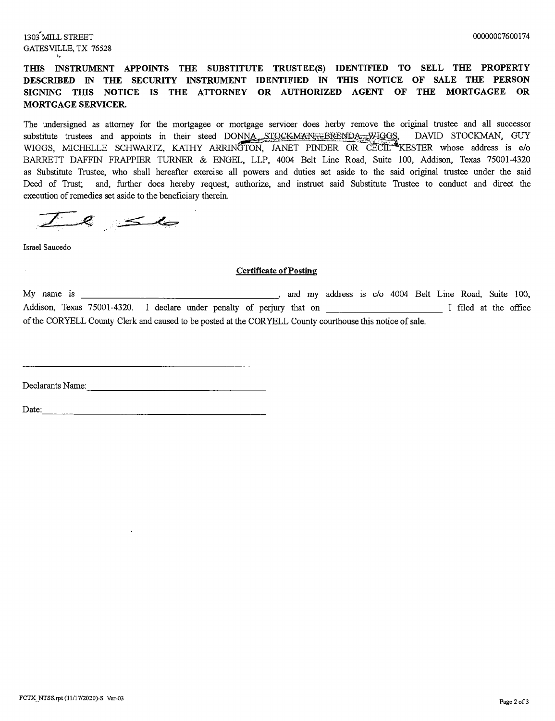# **TIIlS INSTRUMENT APPOINTS THE SUBSTITUTE TRUSTEE(S) IDENTIFIED TO SELL THE PROPERTY DESCRIBED IN THE SECURITY INSTRUMENT IDENTIFIED IN THIS NOTICE OF SALE THE PERSON SIGNING THIS NOTICE IS THE ATTORNEY OR AUTHORIZED AGENT OF THE MORTGAGEE OR MORTGAGE SERVICER.**

The undersigned as attorney for the mortgagee or mortgage servicer does herby remove the original trustee and all successor substitute trustees and appoints in their steed DONNA STOCKMAN<sub>775</sub>BRENDA<sub>775</sub>WIGGS, DAVID STOCKMAN, GUY<br>WIGGS, MICHELLE SCHWARTZ, KATHY ARRINGTON, JANET PINDER OR CECIL<sup>48</sup>KESTER whose address is c/o BARRETT DAFFIN FRAPPIER TURNER & ENGEL, LLP, 4004 Belt Line Road, Suite 100, Addison, Texas 75001-4320 as Substitute Trustee, who shall hereafter exercise all powers and duties set aside to the said original trustee under the said Deed of Trust; and, further does hereby request, authorize, and instruct said Substitute Trustee to conduct and direct the execution of remedies set aside to the beneficiary therein.

*--r-\_~*  Ludon of remedies

Israel Saucedo

 $\mathcal{L}$ 

### **Certificate of Posting**

My name is \_\_\_\_\_\_\_\_\_\_\_\_\_\_\_\_\_\_ ,, and my address is c/o 4004 Belt Line Road, Suite 100, Addison, Texas 75001-4320. I declare under penalty of perjury that on \_\_\_\_\_\_\_\_\_\_\_\_\_\_\_\_\_\_\_\_\_\_\_ I filed at the office of the CORYELL County Clerk and caused to be posted at the CORYELL County courthouse this notice of sale.

Declarants Name: ----------------

Date: --------------------